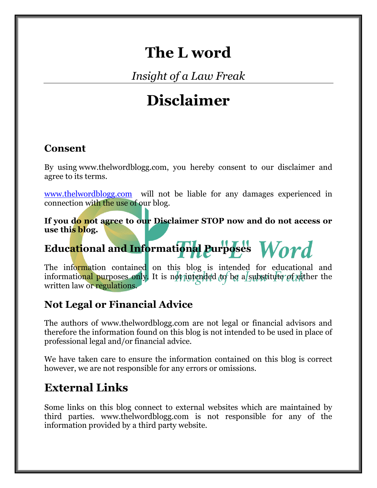## **The L word**

*Insight of a Law Freak*

# **Disclaimer**

#### **Consent**

By using [www.thelwordblogg.com,](https://www.thelwordblogg.com/) you hereby consent to our disclaimer and agree to its terms.

[www.thelwordblogg.com](http://www.thelwordblogg.com/) will not be liable for any damages experienced in connection with the use of our blog.

**If you do not agree to our Disclaimer STOP now and do not access or use this blog.**

## **Educational and Informational Purposes**

The information contained on this blog is intended for educational and informational purposes only. It is not intended to be a substitute of either the written law or regulations.

#### **Not Legal or Financial Advice**

The authors of www.thelwordblogg.com are not legal or financial advisors and therefore the information found on this blog is not intended to be used in place of professional legal and/or financial advice.

We have taken care to ensure the information contained on this blog is correct however, we are not responsible for any errors or omissions.

#### **External Links**

Some links on this blog connect to external websites which are maintained by third parties. www.thelwordblogg.com is not responsible for any of the information provided by a third party website.